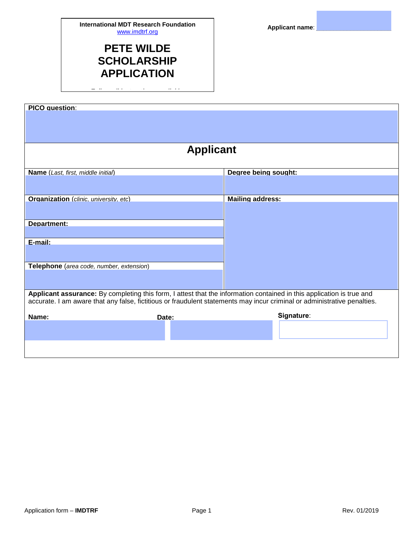## **PETE WILDE SCHOLARSHIP APPLICATION**

*F ll ll i t ti li itl*

| <b>PICO</b> question:                                                                                                    |       |                         |  |  |  |  |  |
|--------------------------------------------------------------------------------------------------------------------------|-------|-------------------------|--|--|--|--|--|
|                                                                                                                          |       |                         |  |  |  |  |  |
|                                                                                                                          |       |                         |  |  |  |  |  |
|                                                                                                                          |       |                         |  |  |  |  |  |
| <b>Applicant</b>                                                                                                         |       |                         |  |  |  |  |  |
| Name (Last, first, middle initial)                                                                                       |       | Degree being sought:    |  |  |  |  |  |
|                                                                                                                          |       |                         |  |  |  |  |  |
| <b>Organization</b> (clinic, university, etc)                                                                            |       | <b>Mailing address:</b> |  |  |  |  |  |
|                                                                                                                          |       |                         |  |  |  |  |  |
| Department:                                                                                                              |       |                         |  |  |  |  |  |
|                                                                                                                          |       |                         |  |  |  |  |  |
| E-mail:                                                                                                                  |       |                         |  |  |  |  |  |
|                                                                                                                          |       |                         |  |  |  |  |  |
| Telephone (area code, number, extension)                                                                                 |       |                         |  |  |  |  |  |
|                                                                                                                          |       |                         |  |  |  |  |  |
| Applicant assurance: By completing this form, I attest that the information contained in this application is true and    |       |                         |  |  |  |  |  |
| accurate. I am aware that any false, fictitious or fraudulent statements may incur criminal or administrative penalties. |       |                         |  |  |  |  |  |
| Name:                                                                                                                    | Date: | Signature:              |  |  |  |  |  |
|                                                                                                                          |       |                         |  |  |  |  |  |
|                                                                                                                          |       |                         |  |  |  |  |  |
|                                                                                                                          |       |                         |  |  |  |  |  |
|                                                                                                                          |       |                         |  |  |  |  |  |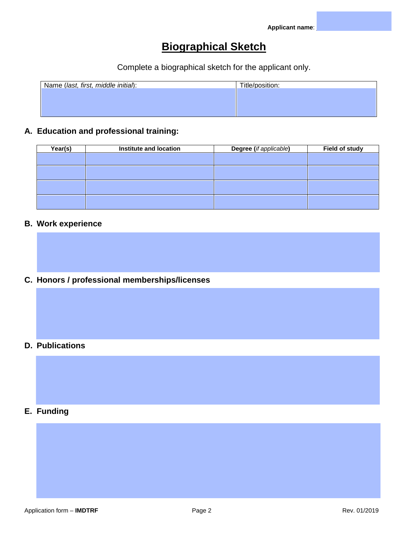# **Biographical Sketch**

Complete a biographical sketch for the applicant only.

| Name (last, first, middle initial): | Title/position: |
|-------------------------------------|-----------------|
|                                     |                 |
|                                     |                 |
|                                     |                 |
|                                     |                 |

### **A. Education and professional training:**

| Year(s) | Institute and location | Degree (if applicable) | <b>Field of study</b> |
|---------|------------------------|------------------------|-----------------------|
|         |                        |                        |                       |
|         |                        |                        |                       |
|         |                        |                        |                       |
|         |                        |                        |                       |
|         |                        |                        |                       |

#### **B. Work experience**

**C. Honors / professional memberships/licenses**

### **D. Publications**

#### **E. Funding**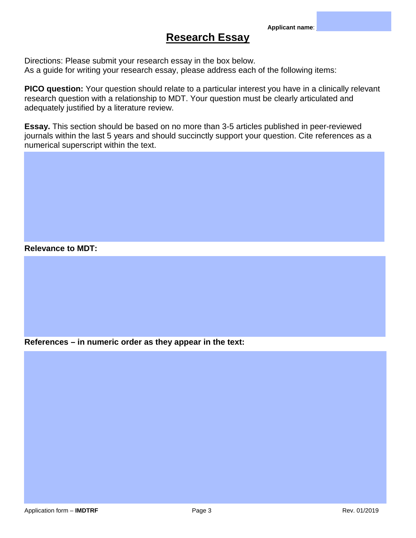### **Research Essay**

Directions: Please submit your research essay in the box below. As a guide for writing your research essay, please address each of the following items:

**PICO question:** Your question should relate to a particular interest you have in a clinically relevant research question with a relationship to MDT. Your question must be clearly articulated and adequately justified by a literature review.

**Essay.** This section should be based on no more than 3-5 articles published in peer-reviewed journals within the last 5 years and should succinctly support your question. Cite references as a numerical superscript within the text.

#### **Relevance to MDT:**

**References – in numeric order as they appear in the text:**